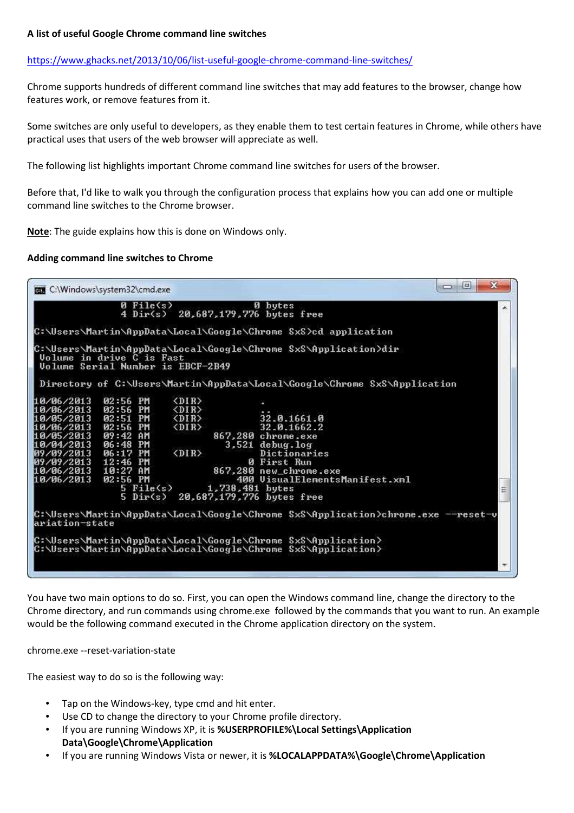# **A list of useful Google Chrome command line switches**

## https://www.ghacks.net/2013/10/06/list-useful-google-chrome-command-line-switches/

Chrome supports hundreds of different command line switches that may add features to the browser, change how features work, or remove features from it.

Some switches are only useful to developers, as they enable them to test certain features in Chrome, while others have practical uses that users of the web browser will appreciate as well.

The following list highlights important Chrome command line switches for users of the browser.

Before that, I'd like to walk you through the configuration process that explains how you can add one or multiple command line switches to the Chrome browser.

**Note**: The guide explains how this is done on Windows only.

### **Adding command line switches to Chrome**



You have two main options to do so. First, you can open the Windows command line, change the directory to the Chrome directory, and run commands using chrome.exe followed by the commands that you want to run. An example would be the following command executed in the Chrome application directory on the system.

chrome.exe --reset-variation-state

The easiest way to do so is the following way:

- Tap on the Windows-key, type cmd and hit enter.
- Use CD to change the directory to your Chrome profile directory.
- If you are running Windows XP, it is **%USERPROFILE%\Local Settings\Application Data\Google\Chrome\Application**
- If you are running Windows Vista or newer, it is **%LOCALAPPDATA%\Google\Chrome\Application**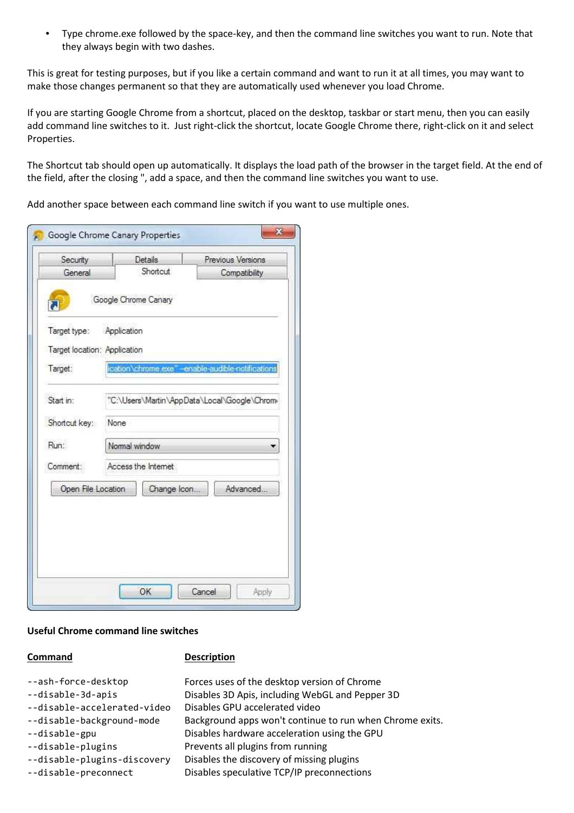• Type chrome.exe followed by the space-key, and then the command line switches you want to run. Note that they always begin with two dashes.

This is great for testing purposes, but if you like a certain command and want to run it at all times, you may want to make those changes permanent so that they are automatically used whenever you load Chrome.

If you are starting Google Chrome from a shortcut, placed on the desktop, taskbar or start menu, then you can easily add command line switches to it. Just right-click the shortcut, locate Google Chrome there, right-click on it and select Properties.

The Shortcut tab should open up automatically. It displays the load path of the browser in the target field. At the end of the field, after the closing ", add a space, and then the command line switches you want to use.

Add another space between each command line switch if you want to use multiple ones.

| General                      |                                              | Previous Versions                                 |
|------------------------------|----------------------------------------------|---------------------------------------------------|
|                              | Shortcut                                     | Compatibility                                     |
|                              | Google Chrome Canary                         |                                                   |
| Target type:                 | Application                                  |                                                   |
| Target location: Application |                                              |                                                   |
| Target:                      |                                              | ication\chrome.exe" -enable-audible-notifications |
|                              |                                              |                                                   |
| Start in:                    | "C:\Users\Martin\AppData\Local\Google\Chrom( |                                                   |
| Shortcut key:                | None                                         |                                                   |
| Run:                         | Nomal window                                 |                                                   |
| Comment:                     | Access the Internet                          |                                                   |
| Open File Location           | Change Icon.                                 | Advanced.                                         |
|                              |                                              |                                                   |

### **Useful Chrome command line switches**

# **Command Description**

| --ash-force-desktop<br>--disable-3d-apis<br>--disable-accelerated-video<br>--disable-background-mode<br>--disable-gpu<br>--disable-plugins | Forces uses of the desktop version of Chrome<br>Disables 3D Apis, including WebGL and Pepper 3D<br>Disables GPU accelerated video<br>Background apps won't continue to run when Chrome exits.<br>Disables hardware acceleration using the GPU<br>Prevents all plugins from running |
|--------------------------------------------------------------------------------------------------------------------------------------------|------------------------------------------------------------------------------------------------------------------------------------------------------------------------------------------------------------------------------------------------------------------------------------|
| --disable-plugins-discovery                                                                                                                | Disables the discovery of missing plugins                                                                                                                                                                                                                                          |
| --disable-preconnect                                                                                                                       | Disables speculative TCP/IP preconnections                                                                                                                                                                                                                                         |